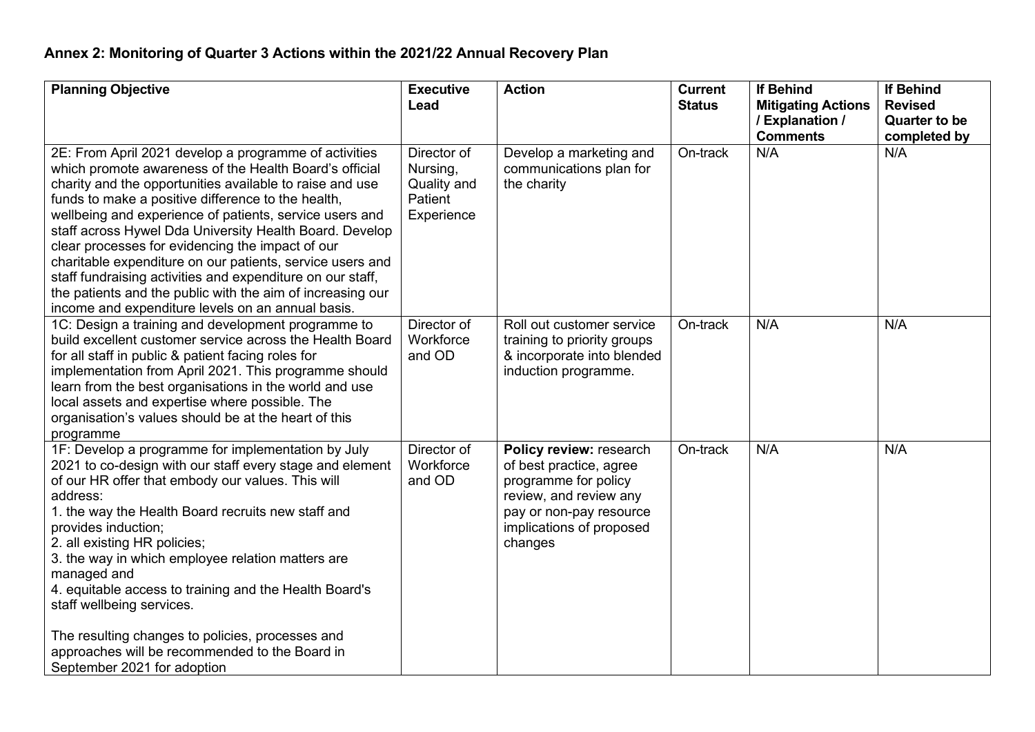## **Annex 2: Monitoring of Quarter 3 Actions within the 2021/22 Annual Recovery Plan**

| <b>Planning Objective</b>                                                                                                                                                                                                                                                                                                                                                                                                                                                                                                                                                                                                                                 | <b>Executive</b><br>Lead                                        | <b>Action</b>                                                                                                                                                          | <b>Current</b><br><b>Status</b> | <b>If Behind</b><br><b>Mitigating Actions</b><br>/ Explanation /<br><b>Comments</b> | If Behind<br><b>Revised</b><br><b>Quarter to be</b><br>completed by |
|-----------------------------------------------------------------------------------------------------------------------------------------------------------------------------------------------------------------------------------------------------------------------------------------------------------------------------------------------------------------------------------------------------------------------------------------------------------------------------------------------------------------------------------------------------------------------------------------------------------------------------------------------------------|-----------------------------------------------------------------|------------------------------------------------------------------------------------------------------------------------------------------------------------------------|---------------------------------|-------------------------------------------------------------------------------------|---------------------------------------------------------------------|
| 2E: From April 2021 develop a programme of activities<br>which promote awareness of the Health Board's official<br>charity and the opportunities available to raise and use<br>funds to make a positive difference to the health,<br>wellbeing and experience of patients, service users and<br>staff across Hywel Dda University Health Board. Develop<br>clear processes for evidencing the impact of our<br>charitable expenditure on our patients, service users and<br>staff fundraising activities and expenditure on our staff,<br>the patients and the public with the aim of increasing our<br>income and expenditure levels on an annual basis. | Director of<br>Nursing,<br>Quality and<br>Patient<br>Experience | Develop a marketing and<br>communications plan for<br>the charity                                                                                                      | On-track                        | N/A                                                                                 | N/A                                                                 |
| 1C: Design a training and development programme to<br>build excellent customer service across the Health Board<br>for all staff in public & patient facing roles for<br>implementation from April 2021. This programme should<br>learn from the best organisations in the world and use<br>local assets and expertise where possible. The<br>organisation's values should be at the heart of this<br>programme                                                                                                                                                                                                                                            | Director of<br>Workforce<br>and OD                              | Roll out customer service<br>training to priority groups<br>& incorporate into blended<br>induction programme.                                                         | On-track                        | N/A                                                                                 | N/A                                                                 |
| 1F: Develop a programme for implementation by July<br>2021 to co-design with our staff every stage and element<br>of our HR offer that embody our values. This will<br>address:<br>1. the way the Health Board recruits new staff and<br>provides induction;<br>2. all existing HR policies;<br>3. the way in which employee relation matters are<br>managed and<br>4. equitable access to training and the Health Board's<br>staff wellbeing services.<br>The resulting changes to policies, processes and<br>approaches will be recommended to the Board in<br>September 2021 for adoption                                                              | Director of<br>Workforce<br>and OD                              | Policy review: research<br>of best practice, agree<br>programme for policy<br>review, and review any<br>pay or non-pay resource<br>implications of proposed<br>changes | On-track                        | N/A                                                                                 | N/A                                                                 |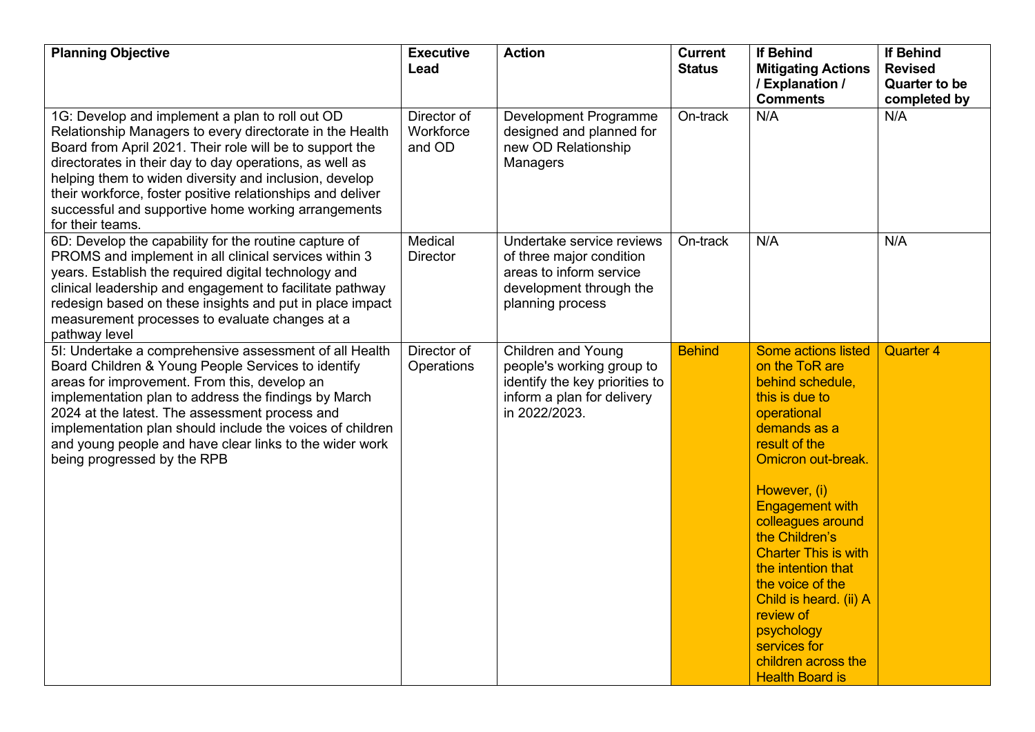| <b>Planning Objective</b>                                                                                                                                                                                                                                                                                                                                                                                                             | <b>Executive</b><br>Lead           | <b>Action</b>                                                                                                                           | <b>Current</b><br><b>Status</b> | <b>If Behind</b><br><b>Mitigating Actions</b><br>/ Explanation /<br><b>Comments</b>                                                                                                                                                                                                                                                                                                                                                      | <b>If Behind</b><br><b>Revised</b><br><b>Quarter to be</b><br>completed by |
|---------------------------------------------------------------------------------------------------------------------------------------------------------------------------------------------------------------------------------------------------------------------------------------------------------------------------------------------------------------------------------------------------------------------------------------|------------------------------------|-----------------------------------------------------------------------------------------------------------------------------------------|---------------------------------|------------------------------------------------------------------------------------------------------------------------------------------------------------------------------------------------------------------------------------------------------------------------------------------------------------------------------------------------------------------------------------------------------------------------------------------|----------------------------------------------------------------------------|
| 1G: Develop and implement a plan to roll out OD<br>Relationship Managers to every directorate in the Health<br>Board from April 2021. Their role will be to support the<br>directorates in their day to day operations, as well as<br>helping them to widen diversity and inclusion, develop<br>their workforce, foster positive relationships and deliver<br>successful and supportive home working arrangements<br>for their teams. | Director of<br>Workforce<br>and OD | Development Programme<br>designed and planned for<br>new OD Relationship<br>Managers                                                    | On-track                        | N/A                                                                                                                                                                                                                                                                                                                                                                                                                                      | N/A                                                                        |
| 6D: Develop the capability for the routine capture of<br>PROMS and implement in all clinical services within 3<br>years. Establish the required digital technology and<br>clinical leadership and engagement to facilitate pathway<br>redesign based on these insights and put in place impact<br>measurement processes to evaluate changes at a<br>pathway level                                                                     | Medical<br><b>Director</b>         | Undertake service reviews<br>of three major condition<br>areas to inform service<br>development through the<br>planning process         | On-track                        | N/A                                                                                                                                                                                                                                                                                                                                                                                                                                      | N/A                                                                        |
| 51: Undertake a comprehensive assessment of all Health<br>Board Children & Young People Services to identify<br>areas for improvement. From this, develop an<br>implementation plan to address the findings by March<br>2024 at the latest. The assessment process and<br>implementation plan should include the voices of children<br>and young people and have clear links to the wider work<br>being progressed by the RPB         | Director of<br>Operations          | <b>Children and Young</b><br>people's working group to<br>identify the key priorities to<br>inform a plan for delivery<br>in 2022/2023. | <b>Behind</b>                   | <b>Some actions listed</b><br>on the ToR are<br>behind schedule,<br>this is due to<br>operational<br>demands as a<br>result of the<br>Omicron out-break.<br>However, (i)<br><b>Engagement with</b><br>colleagues around<br>the Children's<br><b>Charter This is with</b><br>the intention that<br>the voice of the<br>Child is heard. (ii) A<br>review of<br>psychology<br>services for<br>children across the<br><b>Health Board is</b> | <b>Quarter 4</b>                                                           |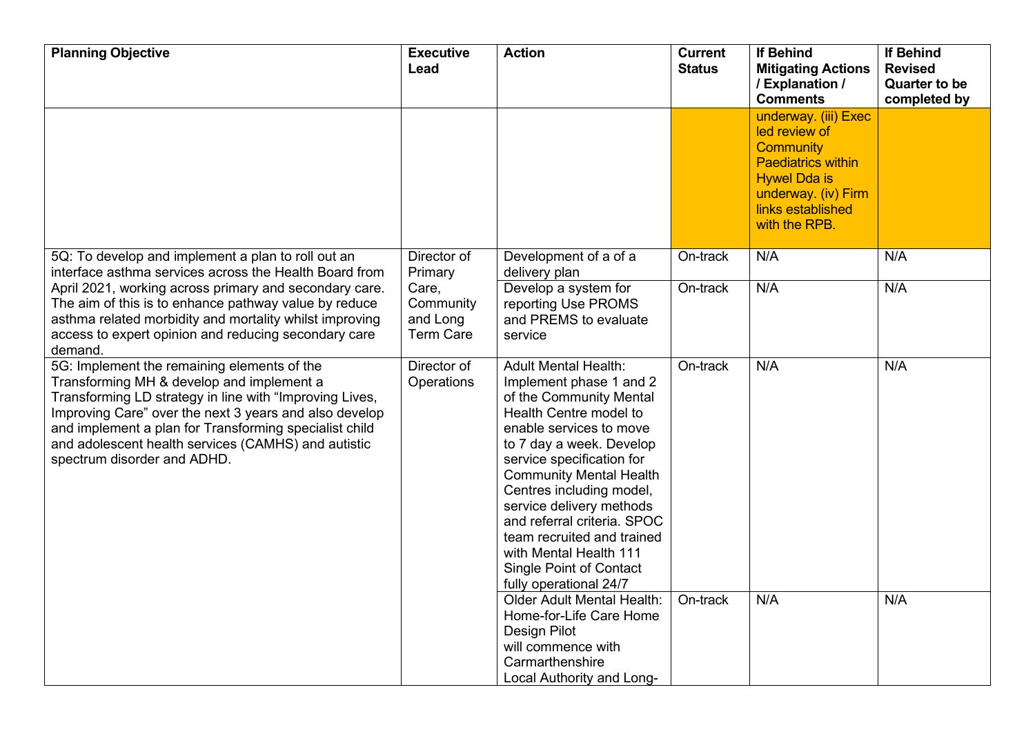| <b>Planning Objective</b>                                                                                                                                                                                                                                                                                                                                     | <b>Executive</b><br>Lead                                                     | <b>Action</b>                                                                                                                                                                                                                                                                                                                                                                                                                                | <b>Current</b><br><b>Status</b> | <b>If Behind</b><br><b>Mitigating Actions</b><br>/ Explanation /                                                                                                           | If Behind<br><b>Revised</b><br><b>Quarter to be</b> |
|---------------------------------------------------------------------------------------------------------------------------------------------------------------------------------------------------------------------------------------------------------------------------------------------------------------------------------------------------------------|------------------------------------------------------------------------------|----------------------------------------------------------------------------------------------------------------------------------------------------------------------------------------------------------------------------------------------------------------------------------------------------------------------------------------------------------------------------------------------------------------------------------------------|---------------------------------|----------------------------------------------------------------------------------------------------------------------------------------------------------------------------|-----------------------------------------------------|
|                                                                                                                                                                                                                                                                                                                                                               |                                                                              |                                                                                                                                                                                                                                                                                                                                                                                                                                              |                                 | <b>Comments</b>                                                                                                                                                            | completed by                                        |
|                                                                                                                                                                                                                                                                                                                                                               |                                                                              |                                                                                                                                                                                                                                                                                                                                                                                                                                              |                                 | underway. (iii) Exec<br>led review of<br><b>Community</b><br><b>Paediatrics within</b><br><b>Hywel Dda is</b><br>underway. (iv) Firm<br>links established<br>with the RPB. |                                                     |
| 5Q: To develop and implement a plan to roll out an<br>interface asthma services across the Health Board from                                                                                                                                                                                                                                                  | Director of<br>Primary<br>Care,<br>Community<br>and Long<br><b>Term Care</b> | Development of a of a<br>delivery plan                                                                                                                                                                                                                                                                                                                                                                                                       | On-track                        | N/A                                                                                                                                                                        | N/A                                                 |
| April 2021, working across primary and secondary care.<br>The aim of this is to enhance pathway value by reduce<br>asthma related morbidity and mortality whilst improving<br>access to expert opinion and reducing secondary care<br>demand.                                                                                                                 |                                                                              | Develop a system for<br>reporting Use PROMS<br>and PREMS to evaluate<br>service                                                                                                                                                                                                                                                                                                                                                              | On-track                        | N/A                                                                                                                                                                        | N/A                                                 |
| 5G: Implement the remaining elements of the<br>Transforming MH & develop and implement a<br>Transforming LD strategy in line with "Improving Lives,<br>Improving Care" over the next 3 years and also develop<br>and implement a plan for Transforming specialist child<br>and adolescent health services (CAMHS) and autistic<br>spectrum disorder and ADHD. | Director of<br>Operations                                                    | <b>Adult Mental Health:</b><br>Implement phase 1 and 2<br>of the Community Mental<br>Health Centre model to<br>enable services to move<br>to 7 day a week. Develop<br>service specification for<br><b>Community Mental Health</b><br>Centres including model,<br>service delivery methods<br>and referral criteria. SPOC<br>team recruited and trained<br>with Mental Health 111<br><b>Single Point of Contact</b><br>fully operational 24/7 | On-track                        | N/A                                                                                                                                                                        | N/A                                                 |
|                                                                                                                                                                                                                                                                                                                                                               |                                                                              | <b>Older Adult Mental Health:</b><br>Home-for-Life Care Home<br>Design Pilot<br>will commence with<br>Carmarthenshire<br>Local Authority and Long-                                                                                                                                                                                                                                                                                           | On-track                        | N/A                                                                                                                                                                        | N/A                                                 |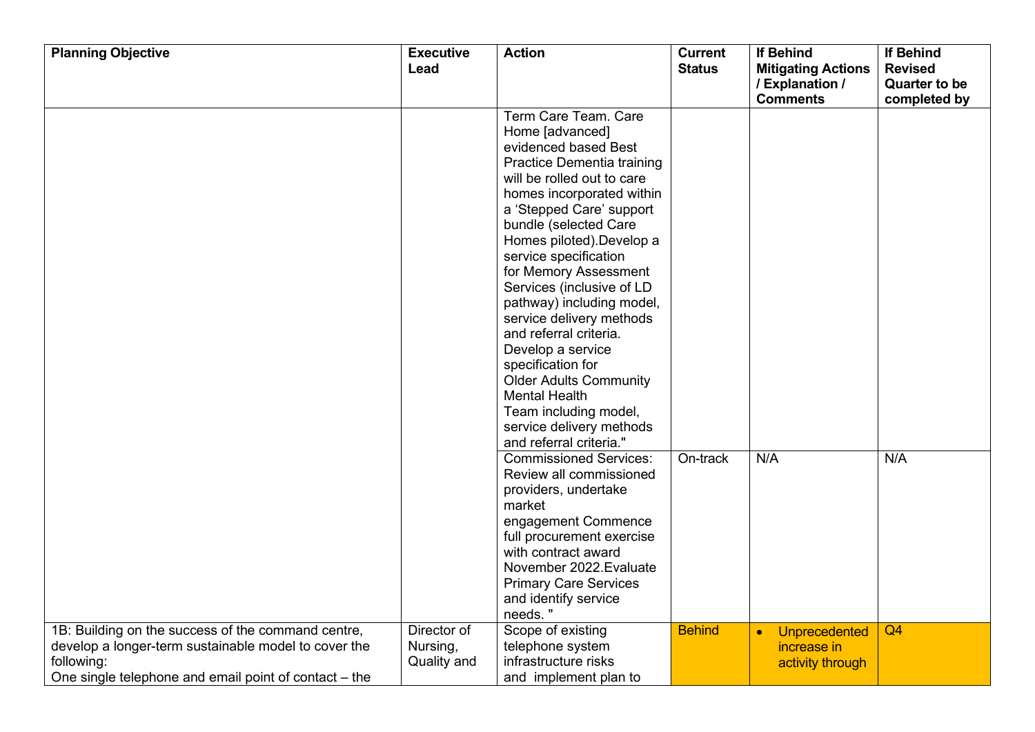| <b>Planning Objective</b>                                                                                                                                                         | <b>Executive</b><br>Lead               | <b>Action</b>                                                                                                                                                                                                                                                                                                                                                                                                                                                                                                                                                                                   | <b>Current</b><br><b>Status</b> | <b>If Behind</b><br><b>Mitigating Actions</b><br>/ Explanation /<br><b>Comments</b> | If Behind<br><b>Revised</b><br><b>Quarter to be</b><br>completed by |
|-----------------------------------------------------------------------------------------------------------------------------------------------------------------------------------|----------------------------------------|-------------------------------------------------------------------------------------------------------------------------------------------------------------------------------------------------------------------------------------------------------------------------------------------------------------------------------------------------------------------------------------------------------------------------------------------------------------------------------------------------------------------------------------------------------------------------------------------------|---------------------------------|-------------------------------------------------------------------------------------|---------------------------------------------------------------------|
|                                                                                                                                                                                   |                                        | Term Care Team. Care<br>Home [advanced]<br>evidenced based Best<br>Practice Dementia training<br>will be rolled out to care<br>homes incorporated within<br>a 'Stepped Care' support<br>bundle (selected Care<br>Homes piloted). Develop a<br>service specification<br>for Memory Assessment<br>Services (inclusive of LD<br>pathway) including model,<br>service delivery methods<br>and referral criteria.<br>Develop a service<br>specification for<br><b>Older Adults Community</b><br><b>Mental Health</b><br>Team including model,<br>service delivery methods<br>and referral criteria." |                                 |                                                                                     |                                                                     |
|                                                                                                                                                                                   |                                        | <b>Commissioned Services:</b><br>Review all commissioned<br>providers, undertake<br>market<br>engagement Commence<br>full procurement exercise<br>with contract award<br>November 2022. Evaluate<br><b>Primary Care Services</b><br>and identify service<br>needs."                                                                                                                                                                                                                                                                                                                             | On-track                        | N/A                                                                                 | N/A                                                                 |
| 1B: Building on the success of the command centre,<br>develop a longer-term sustainable model to cover the<br>following:<br>One single telephone and email point of contact – the | Director of<br>Nursing,<br>Quality and | Scope of existing<br>telephone system<br>infrastructure risks<br>and implement plan to                                                                                                                                                                                                                                                                                                                                                                                                                                                                                                          | <b>Behind</b>                   | Unprecedented<br>$\bullet$<br>increase in<br>activity through                       | Q4                                                                  |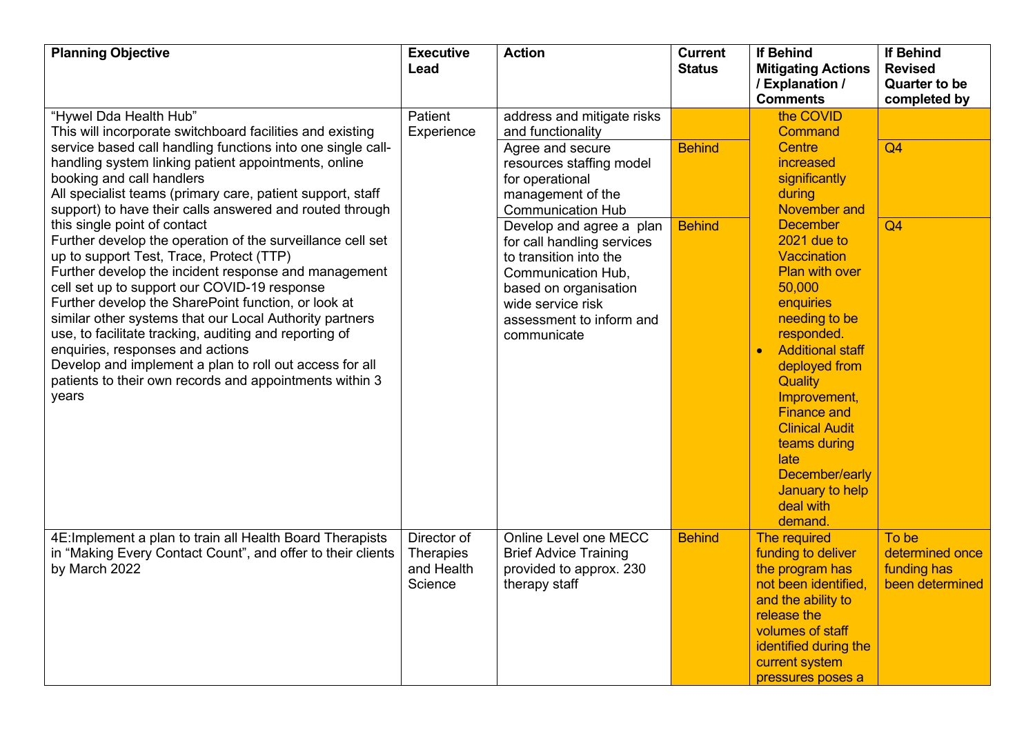| <b>Planning Objective</b>                                                                                                                                                                                                                                                                                                                                                                                                                                                                                   | <b>Executive</b><br>Lead                          | <b>Action</b>                                                                                                                                                                                                                                           | <b>Current</b><br><b>Status</b> | <b>If Behind</b><br><b>Mitigating Actions</b><br>/ Explanation /<br><b>Comments</b>                                                                                                                                                                                                    | <b>If Behind</b><br><b>Revised</b><br><b>Quarter to be</b><br>completed by |
|-------------------------------------------------------------------------------------------------------------------------------------------------------------------------------------------------------------------------------------------------------------------------------------------------------------------------------------------------------------------------------------------------------------------------------------------------------------------------------------------------------------|---------------------------------------------------|---------------------------------------------------------------------------------------------------------------------------------------------------------------------------------------------------------------------------------------------------------|---------------------------------|----------------------------------------------------------------------------------------------------------------------------------------------------------------------------------------------------------------------------------------------------------------------------------------|----------------------------------------------------------------------------|
| "Hywel Dda Health Hub"<br>This will incorporate switchboard facilities and existing<br>service based call handling functions into one single call-<br>handling system linking patient appointments, online<br>booking and call handlers<br>All specialist teams (primary care, patient support, staff<br>support) to have their calls answered and routed through<br>this single point of contact<br>Further develop the operation of the surveillance cell set<br>up to support Test, Trace, Protect (TTP) | Patient<br>Experience                             | address and mitigate risks<br>and functionality<br>Agree and secure<br>resources staffing model<br>for operational<br>management of the<br><b>Communication Hub</b><br>Develop and agree a plan<br>for call handling services<br>to transition into the | <b>Behind</b><br><b>Behind</b>  | the COVID<br><b>Command</b><br><b>Centre</b><br>increased<br>significantly<br>during<br>November and<br><b>December</b><br><b>2021 due to</b><br>Vaccination                                                                                                                           | Q4<br>Q <sub>4</sub>                                                       |
| Further develop the incident response and management<br>cell set up to support our COVID-19 response<br>Further develop the SharePoint function, or look at<br>similar other systems that our Local Authority partners<br>use, to facilitate tracking, auditing and reporting of<br>enquiries, responses and actions<br>Develop and implement a plan to roll out access for all<br>patients to their own records and appointments within 3<br>years                                                         |                                                   | Communication Hub,<br>based on organisation<br>wide service risk<br>assessment to inform and<br>communicate                                                                                                                                             |                                 | <b>Plan with over</b><br>50,000<br>enquiries<br>needing to be<br>responded.<br><b>Additional staff</b><br>deployed from<br>Quality<br>Improvement,<br><b>Finance and</b><br><b>Clinical Audit</b><br>teams during<br>late<br>December/early<br>January to help<br>deal with<br>demand. |                                                                            |
| 4E: Implement a plan to train all Health Board Therapists<br>in "Making Every Contact Count", and offer to their clients<br>by March 2022                                                                                                                                                                                                                                                                                                                                                                   | Director of<br>Therapies<br>and Health<br>Science | Online Level one MECC<br><b>Brief Advice Training</b><br>provided to approx. 230<br>therapy staff                                                                                                                                                       | <b>Behind</b>                   | The required<br>funding to deliver<br>the program has<br>not been identified.<br>and the ability to<br>release the<br>volumes of staff<br>identified during the<br>current system<br>pressures poses a                                                                                 | To be<br>determined once<br>funding has<br>been determined                 |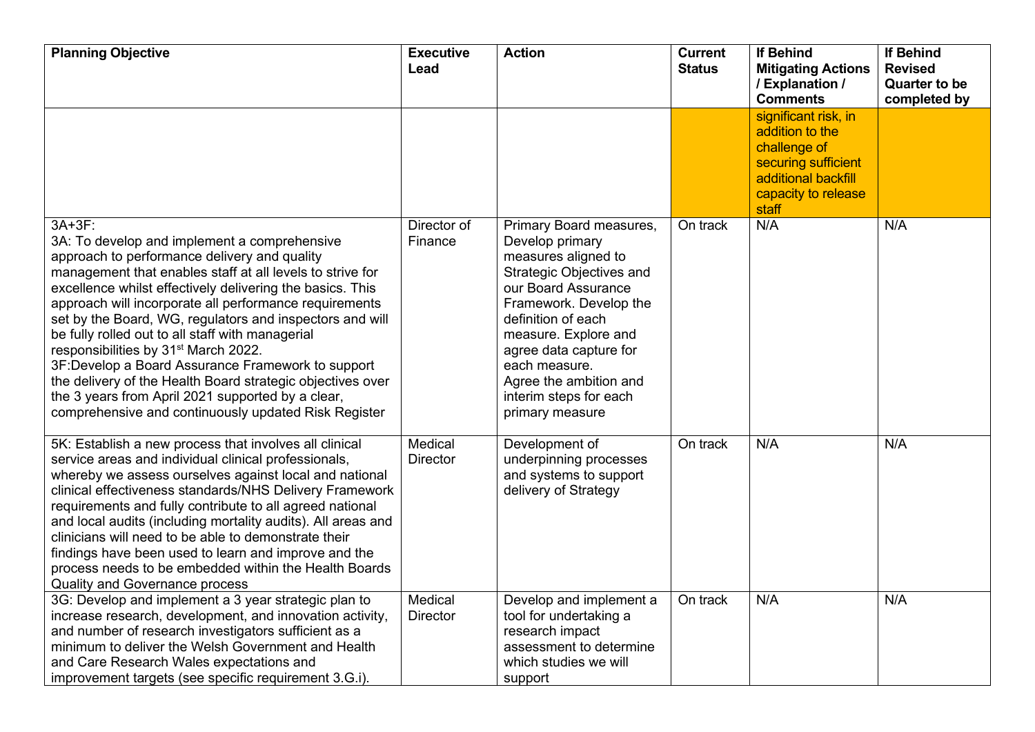| <b>Planning Objective</b>                                                                                                                                                                                                                                                                                                                                                                                                                                                                                                                                                                                                                                                                      | <b>Executive</b><br>Lead   | <b>Action</b>                                                                                                                                                                                                                                                                                                         | <b>Current</b><br><b>Status</b> | <b>If Behind</b><br><b>Mitigating Actions</b><br>/ Explanation /                                                                                         | If Behind<br><b>Revised</b><br><b>Quarter to be</b> |
|------------------------------------------------------------------------------------------------------------------------------------------------------------------------------------------------------------------------------------------------------------------------------------------------------------------------------------------------------------------------------------------------------------------------------------------------------------------------------------------------------------------------------------------------------------------------------------------------------------------------------------------------------------------------------------------------|----------------------------|-----------------------------------------------------------------------------------------------------------------------------------------------------------------------------------------------------------------------------------------------------------------------------------------------------------------------|---------------------------------|----------------------------------------------------------------------------------------------------------------------------------------------------------|-----------------------------------------------------|
|                                                                                                                                                                                                                                                                                                                                                                                                                                                                                                                                                                                                                                                                                                |                            |                                                                                                                                                                                                                                                                                                                       |                                 | <b>Comments</b><br>significant risk, in<br>addition to the<br>challenge of<br>securing sufficient<br>additional backfill<br>capacity to release<br>staff | completed by                                        |
| 3A+3F:<br>3A: To develop and implement a comprehensive<br>approach to performance delivery and quality<br>management that enables staff at all levels to strive for<br>excellence whilst effectively delivering the basics. This<br>approach will incorporate all performance requirements<br>set by the Board, WG, regulators and inspectors and will<br>be fully rolled out to all staff with managerial<br>responsibilities by 31 <sup>st</sup> March 2022.<br>3F:Develop a Board Assurance Framework to support<br>the delivery of the Health Board strategic objectives over<br>the 3 years from April 2021 supported by a clear,<br>comprehensive and continuously updated Risk Register | Director of<br>Finance     | Primary Board measures,<br>Develop primary<br>measures aligned to<br><b>Strategic Objectives and</b><br>our Board Assurance<br>Framework. Develop the<br>definition of each<br>measure. Explore and<br>agree data capture for<br>each measure.<br>Agree the ambition and<br>interim steps for each<br>primary measure | On track                        | N/A                                                                                                                                                      | N/A                                                 |
| 5K: Establish a new process that involves all clinical<br>service areas and individual clinical professionals,<br>whereby we assess ourselves against local and national<br>clinical effectiveness standards/NHS Delivery Framework<br>requirements and fully contribute to all agreed national<br>and local audits (including mortality audits). All areas and<br>clinicians will need to be able to demonstrate their<br>findings have been used to learn and improve and the<br>process needs to be embedded within the Health Boards<br><b>Quality and Governance process</b>                                                                                                              | Medical<br><b>Director</b> | Development of<br>underpinning processes<br>and systems to support<br>delivery of Strategy                                                                                                                                                                                                                            | On track                        | N/A                                                                                                                                                      | N/A                                                 |
| 3G: Develop and implement a 3 year strategic plan to<br>increase research, development, and innovation activity,<br>and number of research investigators sufficient as a<br>minimum to deliver the Welsh Government and Health<br>and Care Research Wales expectations and<br>improvement targets (see specific requirement 3.G.i).                                                                                                                                                                                                                                                                                                                                                            | Medical<br><b>Director</b> | Develop and implement a<br>tool for undertaking a<br>research impact<br>assessment to determine<br>which studies we will<br>support                                                                                                                                                                                   | On track                        | N/A                                                                                                                                                      | N/A                                                 |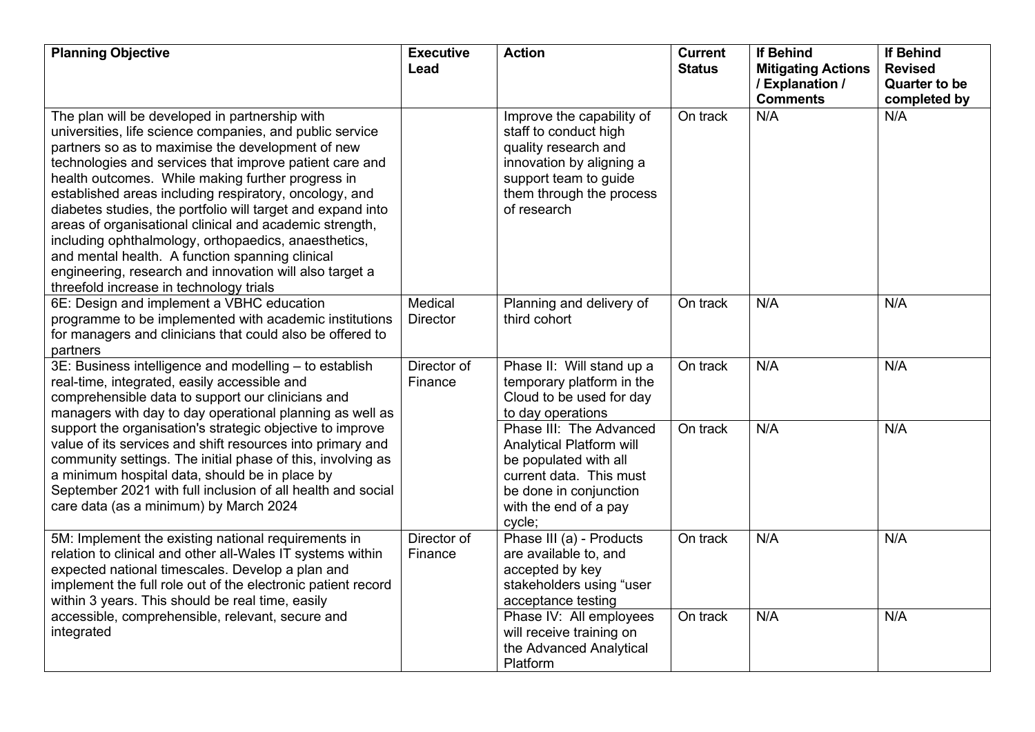| <b>Planning Objective</b>                                                                                                                                                                                                                                                                                                                                                                                                                                                                                                                                                                                                                                                            | <b>Executive</b><br>Lead   | <b>Action</b>                                                                                                                                                               | <b>Current</b><br><b>Status</b> | <b>If Behind</b><br><b>Mitigating Actions</b><br>/ Explanation /<br><b>Comments</b> | <b>If Behind</b><br><b>Revised</b><br><b>Quarter to be</b><br>completed by |
|--------------------------------------------------------------------------------------------------------------------------------------------------------------------------------------------------------------------------------------------------------------------------------------------------------------------------------------------------------------------------------------------------------------------------------------------------------------------------------------------------------------------------------------------------------------------------------------------------------------------------------------------------------------------------------------|----------------------------|-----------------------------------------------------------------------------------------------------------------------------------------------------------------------------|---------------------------------|-------------------------------------------------------------------------------------|----------------------------------------------------------------------------|
| The plan will be developed in partnership with<br>universities, life science companies, and public service<br>partners so as to maximise the development of new<br>technologies and services that improve patient care and<br>health outcomes. While making further progress in<br>established areas including respiratory, oncology, and<br>diabetes studies, the portfolio will target and expand into<br>areas of organisational clinical and academic strength,<br>including ophthalmology, orthopaedics, anaesthetics,<br>and mental health. A function spanning clinical<br>engineering, research and innovation will also target a<br>threefold increase in technology trials |                            | Improve the capability of<br>staff to conduct high<br>quality research and<br>innovation by aligning a<br>support team to guide<br>them through the process<br>of research  | On track                        | N/A                                                                                 | N/A                                                                        |
| 6E: Design and implement a VBHC education<br>programme to be implemented with academic institutions<br>for managers and clinicians that could also be offered to<br>partners                                                                                                                                                                                                                                                                                                                                                                                                                                                                                                         | Medical<br><b>Director</b> | Planning and delivery of<br>third cohort                                                                                                                                    | On track                        | N/A                                                                                 | N/A                                                                        |
| 3E: Business intelligence and modelling - to establish<br>real-time, integrated, easily accessible and<br>comprehensible data to support our clinicians and<br>managers with day to day operational planning as well as                                                                                                                                                                                                                                                                                                                                                                                                                                                              | Director of<br>Finance     | Phase II: Will stand up a<br>temporary platform in the<br>Cloud to be used for day<br>to day operations                                                                     | On track                        | N/A                                                                                 | N/A                                                                        |
| support the organisation's strategic objective to improve<br>value of its services and shift resources into primary and<br>community settings. The initial phase of this, involving as<br>a minimum hospital data, should be in place by<br>September 2021 with full inclusion of all health and social<br>care data (as a minimum) by March 2024                                                                                                                                                                                                                                                                                                                                    |                            | Phase III: The Advanced<br><b>Analytical Platform will</b><br>be populated with all<br>current data. This must<br>be done in conjunction<br>with the end of a pay<br>cycle; | On track                        | N/A                                                                                 | N/A                                                                        |
| 5M: Implement the existing national requirements in<br>relation to clinical and other all-Wales IT systems within<br>expected national timescales. Develop a plan and<br>implement the full role out of the electronic patient record<br>within 3 years. This should be real time, easily                                                                                                                                                                                                                                                                                                                                                                                            | Director of<br>Finance     | Phase III (a) - Products<br>are available to, and<br>accepted by key<br>stakeholders using "user<br>acceptance testing                                                      | On track                        | N/A                                                                                 | N/A                                                                        |
| accessible, comprehensible, relevant, secure and<br>integrated                                                                                                                                                                                                                                                                                                                                                                                                                                                                                                                                                                                                                       |                            | Phase IV: All employees<br>will receive training on<br>the Advanced Analytical<br>Platform                                                                                  | On track                        | N/A                                                                                 | N/A                                                                        |